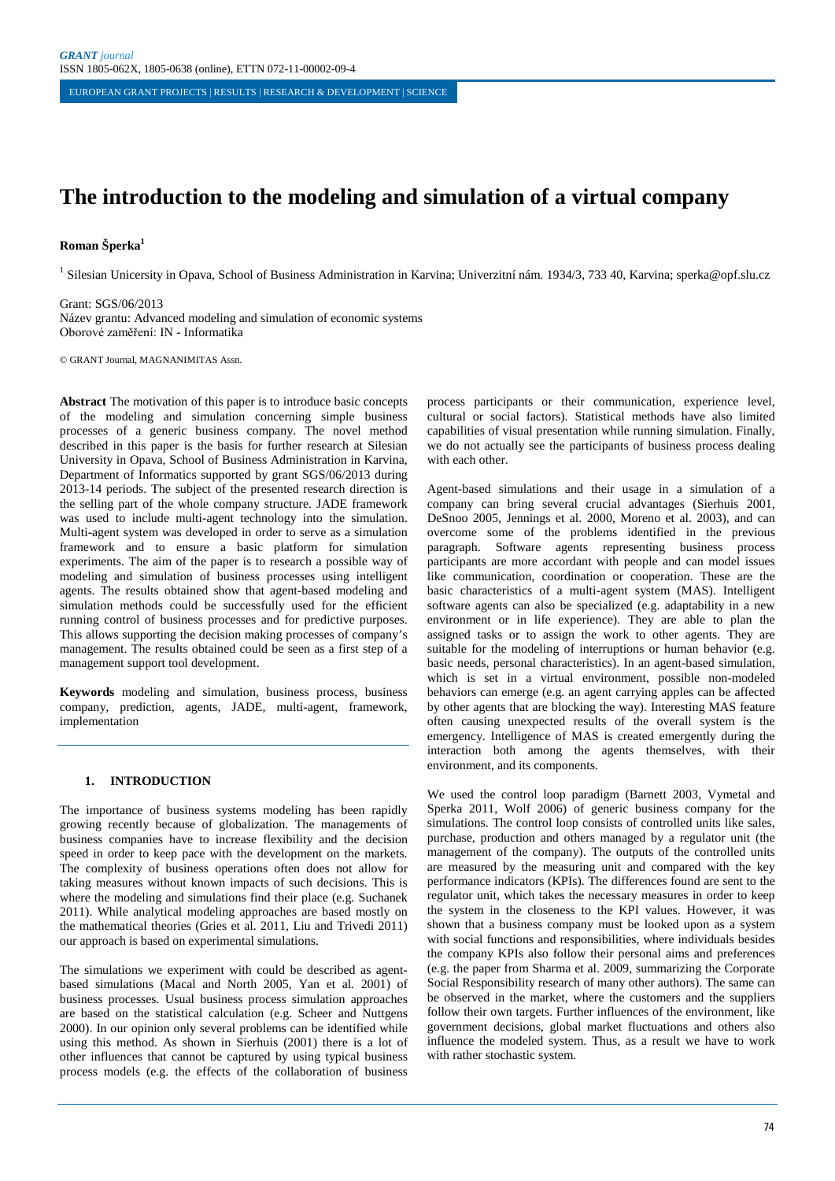# **The introduction to the modeling and simulation of a virtual company**

## **Roman Šperka1**

<sup>1</sup> Silesian Unicersity in Opava, School of Business Administration in Karvina; Univerzitní nám. 1934/3, 733 40, Karvina; sperka@opf.slu.cz

Grant: SGS/06/2013 Název grantu: Advanced modeling and simulation of economic systems Oborové zaměření: IN - Informatika

© GRANT Journal, MAGNANIMITAS Assn.

**Abstract** The motivation of this paper is to introduce basic concepts of the modeling and simulation concerning simple business processes of a generic business company. The novel method described in this paper is the basis for further research at Silesian University in Opava, School of Business Administration in Karvina, Department of Informatics supported by grant SGS/06/2013 during 2013-14 periods. The subject of the presented research direction is the selling part of the whole company structure. JADE framework was used to include multi-agent technology into the simulation. Multi-agent system was developed in order to serve as a simulation framework and to ensure a basic platform for simulation experiments. The aim of the paper is to research a possible way of modeling and simulation of business processes using intelligent agents. The results obtained show that agent-based modeling and simulation methods could be successfully used for the efficient running control of business processes and for predictive purposes. This allows supporting the decision making processes of company's management. The results obtained could be seen as a first step of a management support tool development.

**Keywords** modeling and simulation, business process, business company, prediction, agents, JADE, multi-agent, framework, implementation

## **1. INTRODUCTION**

The importance of business systems modeling has been rapidly growing recently because of globalization. The managements of business companies have to increase flexibility and the decision speed in order to keep pace with the development on the markets. The complexity of business operations often does not allow for taking measures without known impacts of such decisions. This is where the modeling and simulations find their place (e.g. Suchanek 2011). While analytical modeling approaches are based mostly on the mathematical theories (Gries et al. 2011, Liu and Trivedi 2011) our approach is based on experimental simulations.

The simulations we experiment with could be described as agentbased simulations (Macal and North 2005, Yan et al. 2001) of business processes. Usual business process simulation approaches are based on the statistical calculation (e.g. Scheer and Nuttgens 2000). In our opinion only several problems can be identified while using this method. As shown in Sierhuis (2001) there is a lot of other influences that cannot be captured by using typical business process models (e.g. the effects of the collaboration of business process participants or their communication, experience level, cultural or social factors). Statistical methods have also limited capabilities of visual presentation while running simulation. Finally, we do not actually see the participants of business process dealing with each other.

Agent-based simulations and their usage in a simulation of a company can bring several crucial advantages (Sierhuis 2001, DeSnoo 2005, Jennings et al. 2000, Moreno et al. 2003), and can overcome some of the problems identified in the previous paragraph. Software agents representing business process participants are more accordant with people and can model issues like communication, coordination or cooperation. These are the basic characteristics of a multi-agent system (MAS). Intelligent software agents can also be specialized (e.g. adaptability in a new environment or in life experience). They are able to plan the assigned tasks or to assign the work to other agents. They are suitable for the modeling of interruptions or human behavior (e.g. basic needs, personal characteristics). In an agent-based simulation, which is set in a virtual environment, possible non-modeled behaviors can emerge (e.g. an agent carrying apples can be affected by other agents that are blocking the way). Interesting MAS feature often causing unexpected results of the overall system is the emergency. Intelligence of MAS is created emergently during the interaction both among the agents themselves, with their environment, and its components.

We used the control loop paradigm (Barnett 2003, Vymetal and Sperka 2011, Wolf 2006) of generic business company for the simulations. The control loop consists of controlled units like sales, purchase, production and others managed by a regulator unit (the management of the company). The outputs of the controlled units are measured by the measuring unit and compared with the key performance indicators (KPIs). The differences found are sent to the regulator unit, which takes the necessary measures in order to keep the system in the closeness to the KPI values. However, it was shown that a business company must be looked upon as a system with social functions and responsibilities, where individuals besides the company KPIs also follow their personal aims and preferences (e.g. the paper from Sharma et al. 2009, summarizing the Corporate Social Responsibility research of many other authors). The same can be observed in the market, where the customers and the suppliers follow their own targets. Further influences of the environment, like government decisions, global market fluctuations and others also influence the modeled system. Thus, as a result we have to work with rather stochastic system.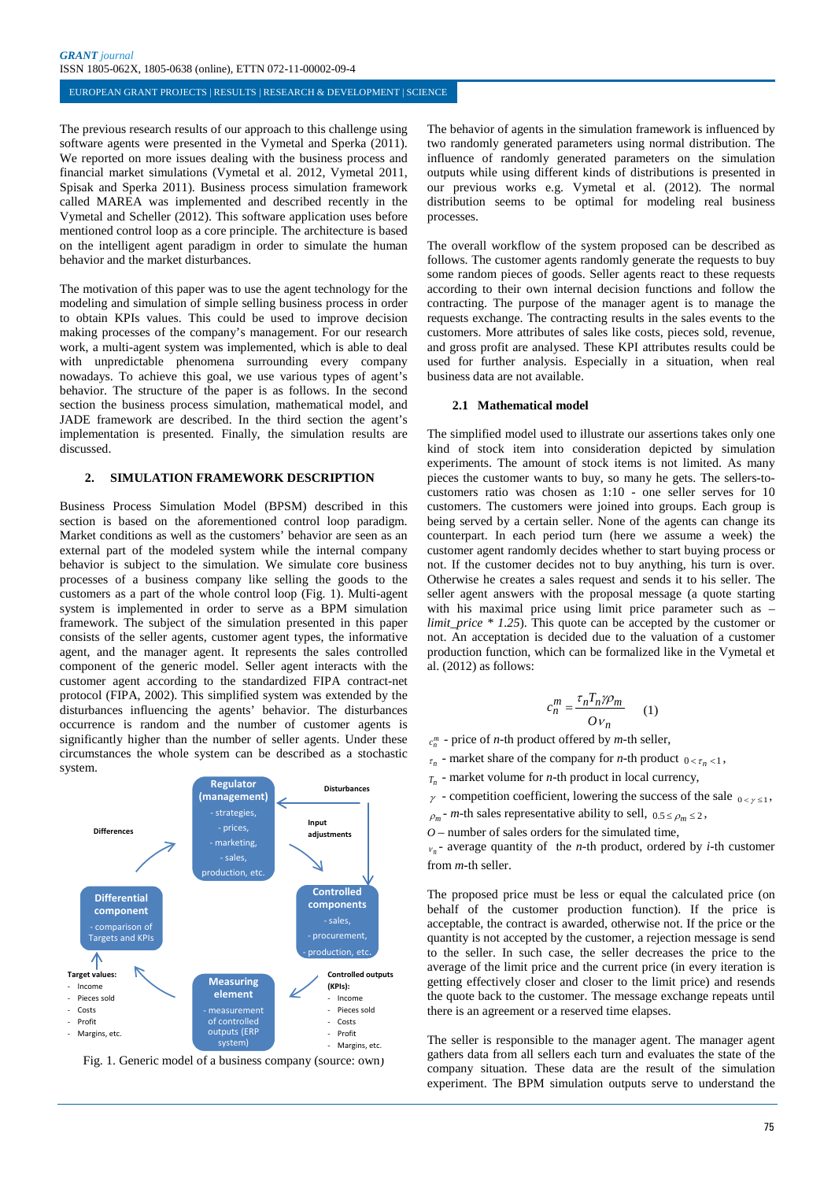The previous research results of our approach to this challenge using software agents were presented in the Vymetal and Sperka (2011). We reported on more issues dealing with the business process and financial market simulations (Vymetal et al. 2012, Vymetal 2011, Spisak and Sperka 2011). Business process simulation framework called MAREA was implemented and described recently in the Vymetal and Scheller (2012). This software application uses before mentioned control loop as a core principle. The architecture is based on the intelligent agent paradigm in order to simulate the human behavior and the market disturbances.

The motivation of this paper was to use the agent technology for the modeling and simulation of simple selling business process in order to obtain KPIs values. This could be used to improve decision making processes of the company's management. For our research work, a multi-agent system was implemented, which is able to deal with unpredictable phenomena surrounding every company nowadays. To achieve this goal, we use various types of agent's behavior. The structure of the paper is as follows. In the second section the business process simulation, mathematical model, and JADE framework are described. In the third section the agent's implementation is presented. Finally, the simulation results are discussed.

#### **2. SIMULATION FRAMEWORK DESCRIPTION**

Business Process Simulation Model (BPSM) described in this section is based on the aforementioned control loop paradigm. Market conditions as well as the customers' behavior are seen as an external part of the modeled system while the internal company behavior is subject to the simulation. We simulate core business processes of a business company like selling the goods to the customers as a part of the whole control loop (Fig. 1). Multi-agent system is implemented in order to serve as a BPM simulation framework. The subject of the simulation presented in this paper consists of the seller agents, customer agent types, the informative agent, and the manager agent. It represents the sales controlled component of the generic model. Seller agent interacts with the customer agent according to the standardized FIPA contract-net protocol (FIPA, 2002). This simplified system was extended by the disturbances influencing the agents' behavior. The disturbances occurrence is random and the number of customer agents is significantly higher than the number of seller agents. Under these circumstances the whole system can be described as a stochastic system.



Fig. 1. Generic model of a business company (source: own)

The behavior of agents in the simulation framework is influenced by two randomly generated parameters using normal distribution. The influence of randomly generated parameters on the simulation outputs while using different kinds of distributions is presented in our previous works e.g. Vymetal et al. (2012). The normal distribution seems to be optimal for modeling real business processes.

The overall workflow of the system proposed can be described as follows. The customer agents randomly generate the requests to buy some random pieces of goods. Seller agents react to these requests according to their own internal decision functions and follow the contracting. The purpose of the manager agent is to manage the requests exchange. The contracting results in the sales events to the customers. More attributes of sales like costs, pieces sold, revenue, and gross profit are analysed. These KPI attributes results could be used for further analysis. Especially in a situation, when real business data are not available.

## **2.1 Mathematical model**

The simplified model used to illustrate our assertions takes only one kind of stock item into consideration depicted by simulation experiments. The amount of stock items is not limited. As many pieces the customer wants to buy, so many he gets. The sellers-tocustomers ratio was chosen as 1:10 - one seller serves for 10 customers. The customers were joined into groups. Each group is being served by a certain seller. None of the agents can change its counterpart. In each period turn (here we assume a week) the customer agent randomly decides whether to start buying process or not. If the customer decides not to buy anything, his turn is over. Otherwise he creates a sales request and sends it to his seller. The seller agent answers with the proposal message (a quote starting with his maximal price using limit price parameter such as – *limit\_price \* 1.25*). This quote can be accepted by the customer or not. An acceptation is decided due to the valuation of a customer production function, which can be formalized like in the Vymetal et al. (2012) as follows:

$$
c_n^m = \frac{\tau_n T_n \gamma \rho_m}{O v_n} \qquad (1)
$$

 $c_n^m$  - price of *n*-th product offered by *m*-th seller,

- $\tau_n$  market share of the company for *n*-th product  $0 < \tau_n < 1$ ,
- *Tn* market volume for *n-*th product in local currency,
- $\gamma$  competition coefficient, lowering the success of the sale  $0 \leq \gamma \leq 1$ ,
- $\rho_m$  *m*-th sales representative ability to sell,  $0.5 \le \rho_m \le 2$ ,
- *O* number of sales orders for the simulated time,

 $v_n$ - average quantity of the *n*-th product, ordered by *i*-th customer from *m-*th seller.

The proposed price must be less or equal the calculated price (on behalf of the customer production function). If the price is acceptable, the contract is awarded, otherwise not. If the price or the quantity is not accepted by the customer, a rejection message is send to the seller. In such case, the seller decreases the price to the average of the limit price and the current price (in every iteration is getting effectively closer and closer to the limit price) and resends the quote back to the customer. The message exchange repeats until there is an agreement or a reserved time elapses.

The seller is responsible to the manager agent. The manager agent gathers data from all sellers each turn and evaluates the state of the company situation. These data are the result of the simulation experiment. The BPM simulation outputs serve to understand the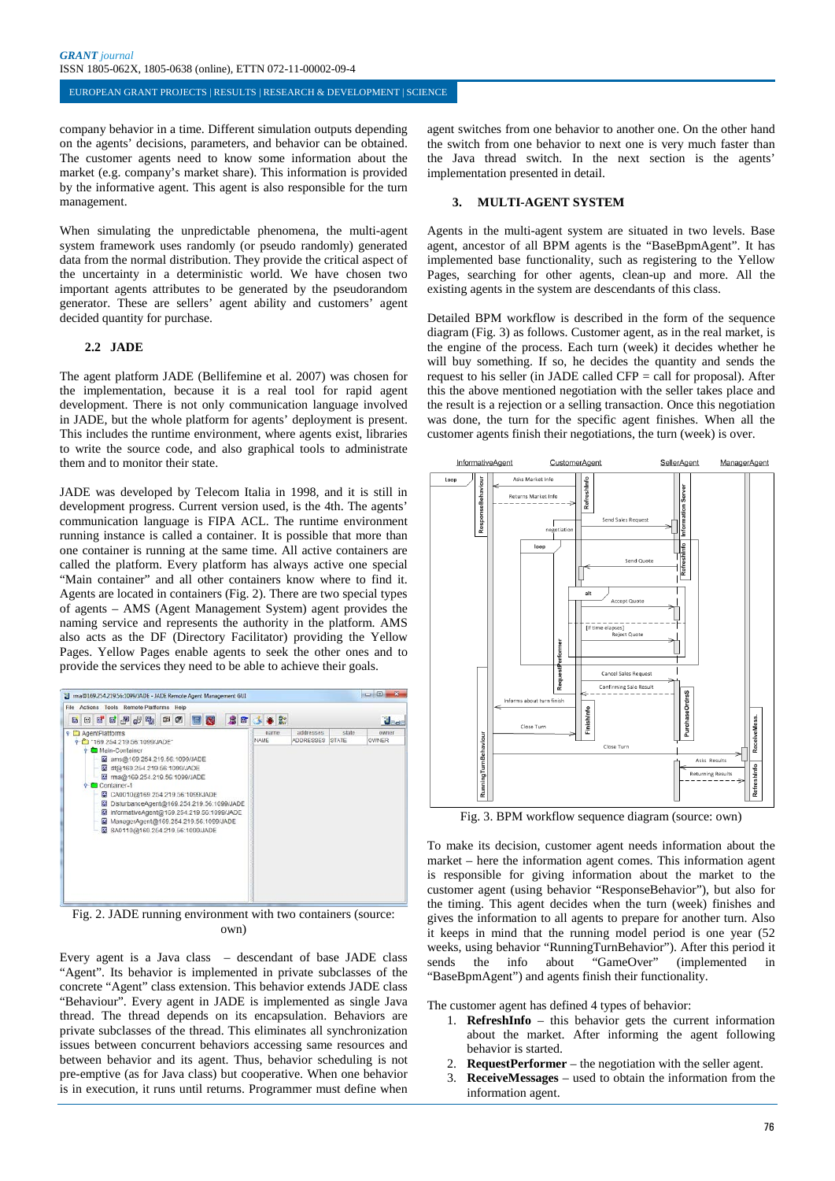company behavior in a time. Different simulation outputs depending on the agents' decisions, parameters, and behavior can be obtained. The customer agents need to know some information about the market (e.g. company's market share). This information is provided by the informative agent. This agent is also responsible for the turn management.

When simulating the unpredictable phenomena, the multi-agent system framework uses randomly (or pseudo randomly) generated data from the normal distribution. They provide the critical aspect of the uncertainty in a deterministic world. We have chosen two important agents attributes to be generated by the pseudorandom generator. These are sellers' agent ability and customers' agent decided quantity for purchase.

#### **2.2 JADE**

The agent platform JADE (Bellifemine et al. 2007) was chosen for the implementation, because it is a real tool for rapid agent development. There is not only communication language involved in JADE, but the whole platform for agents' deployment is present. This includes the runtime environment, where agents exist, libraries to write the source code, and also graphical tools to administrate them and to monitor their state.

JADE was developed by Telecom Italia in 1998, and it is still in development progress. Current version used, is the 4th. The agents' communication language is FIPA ACL. The runtime environment running instance is called a container. It is possible that more than one container is running at the same time. All active containers are called the platform. Every platform has always active one special "Main container" and all other containers know where to find it. Agents are located in containers (Fig. 2). There are two special types of agents – AMS (Agent Management System) agent provides the naming service and represents the authority in the platform. AMS also acts as the DF (Directory Facilitator) providing the Yellow Pages. Yellow Pages enable agents to seek the other ones and to provide the services they need to be able to achieve their goals.



Fig. 2. JADE running environment with two containers (source: own)

Every agent is a Java class – descendant of base JADE class "Agent". Its behavior is implemented in private subclasses of the concrete "Agent" class extension. This behavior extends JADE class "Behaviour". Every agent in JADE is implemented as single Java thread. The thread depends on its encapsulation. Behaviors are private subclasses of the thread. This eliminates all synchronization issues between concurrent behaviors accessing same resources and between behavior and its agent. Thus, behavior scheduling is not pre-emptive (as for Java class) but cooperative. When one behavior is in execution, it runs until returns. Programmer must define when

agent switches from one behavior to another one. On the other hand the switch from one behavior to next one is very much faster than the Java thread switch. In the next section is the agents' implementation presented in detail.

## **3. MULTI-AGENT SYSTEM**

Agents in the multi-agent system are situated in two levels. Base agent, ancestor of all BPM agents is the "BaseBpmAgent". It has implemented base functionality, such as registering to the Yellow Pages, searching for other agents, clean-up and more. All the existing agents in the system are descendants of this class.

Detailed BPM workflow is described in the form of the sequence diagram (Fig. 3) as follows. Customer agent, as in the real market, is the engine of the process. Each turn (week) it decides whether he will buy something. If so, he decides the quantity and sends the request to his seller (in JADE called CFP = call for proposal). After this the above mentioned negotiation with the seller takes place and the result is a rejection or a selling transaction. Once this negotiation was done, the turn for the specific agent finishes. When all the customer agents finish their negotiations, the turn (week) is over.



Fig. 3. BPM workflow sequence diagram (source: own)

To make its decision, customer agent needs information about the market – here the information agent comes. This information agent is responsible for giving information about the market to the customer agent (using behavior "ResponseBehavior"), but also for the timing. This agent decides when the turn (week) finishes and gives the information to all agents to prepare for another turn. Also it keeps in mind that the running model period is one year (52 weeks, using behavior "RunningTurnBehavior"). After this period it sends the info about "GameOver" (implemented in "BaseBpmAgent") and agents finish their functionality.

The customer agent has defined 4 types of behavior:

- 1. **RefreshInfo** this behavior gets the current information about the market. After informing the agent following behavior is started.
- 2. **RequestPerformer** the negotiation with the seller agent.
- 3. **ReceiveMessages** used to obtain the information from the information agent.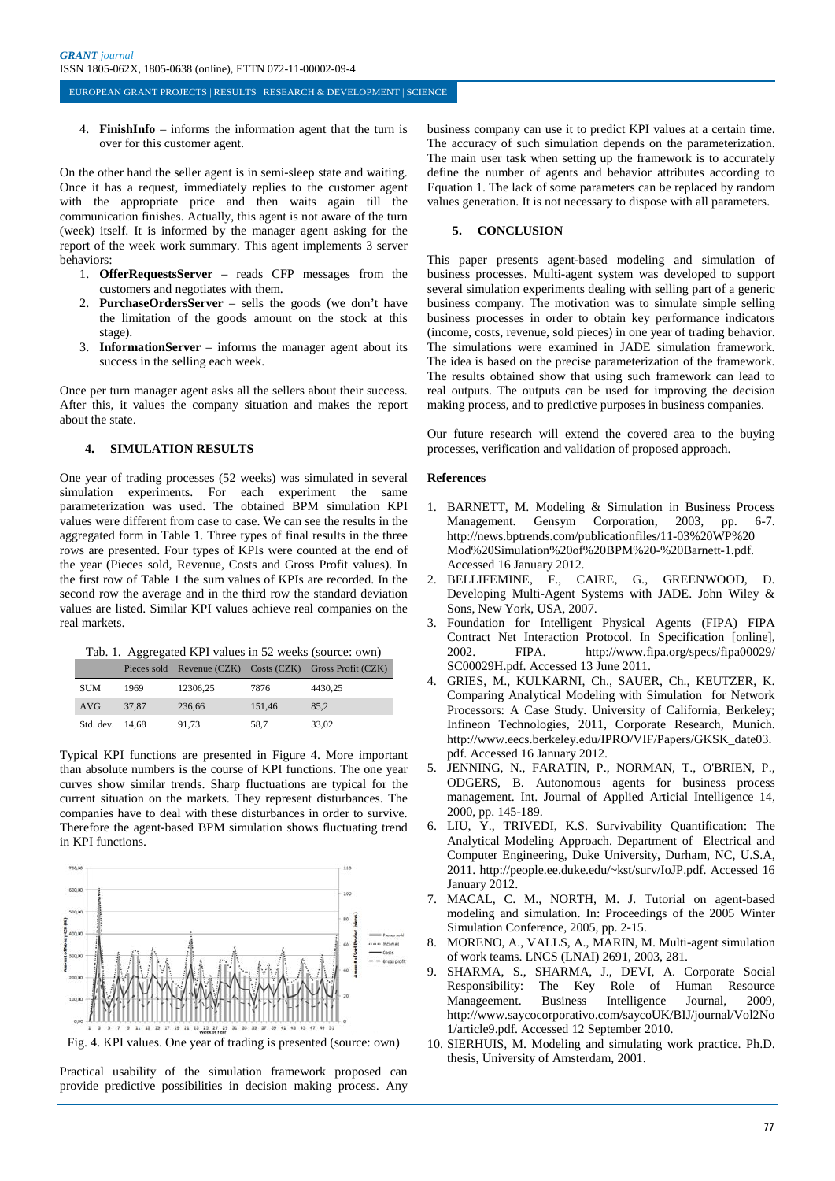4. **FinishInfo** – informs the information agent that the turn is over for this customer agent.

On the other hand the seller agent is in semi-sleep state and waiting. Once it has a request, immediately replies to the customer agent with the appropriate price and then waits again till the communication finishes. Actually, this agent is not aware of the turn (week) itself. It is informed by the manager agent asking for the report of the week work summary. This agent implements 3 server behaviors:

- 1. **OfferRequestsServer** reads CFP messages from the customers and negotiates with them.
- 2. **PurchaseOrdersServer** sells the goods (we don't have the limitation of the goods amount on the stock at this stage).
- 3. **InformationServer** informs the manager agent about its success in the selling each week.

Once per turn manager agent asks all the sellers about their success. After this, it values the company situation and makes the report about the state.

## **4. SIMULATION RESULTS**

One year of trading processes (52 weeks) was simulated in several simulation experiments. For each experiment the same parameterization was used. The obtained BPM simulation KPI values were different from case to case. We can see the results in the aggregated form in Table 1. Three types of final results in the three rows are presented. Four types of KPIs were counted at the end of the year (Pieces sold, Revenue, Costs and Gross Profit values). In the first row of Table 1 the sum values of KPIs are recorded. In the second row the average and in the third row the standard deviation values are listed. Similar KPI values achieve real companies on the real markets.

Tab. 1. Aggregated KPI values in 52 weeks (source: own)

|                 |       |          |        | Pieces sold Revenue (CZK) Costs (CZK) Gross Profit (CZK) |
|-----------------|-------|----------|--------|----------------------------------------------------------|
| <b>SUM</b>      | 1969  | 12306.25 | 7876   | 4430.25                                                  |
| <b>AVG</b>      | 37.87 | 236.66   | 151.46 | 85.2                                                     |
| Std. dev. 14.68 |       | 91.73    | 58.7   | 33.02                                                    |

Typical KPI functions are presented in Figure 4. More important than absolute numbers is the course of KPI functions. The one year curves show similar trends. Sharp fluctuations are typical for the current situation on the markets. They represent disturbances. The companies have to deal with these disturbances in order to survive. Therefore the agent-based BPM simulation shows fluctuating trend in KPI functions.



Fig. 4. KPI values. One year of trading is presented (source: own)

Practical usability of the simulation framework proposed can provide predictive possibilities in decision making process. Any business company can use it to predict KPI values at a certain time. The accuracy of such simulation depends on the parameterization. The main user task when setting up the framework is to accurately define the number of agents and behavior attributes according to Equation 1. The lack of some parameters can be replaced by random values generation. It is not necessary to dispose with all parameters.

#### **5. CONCLUSION**

This paper presents agent-based modeling and simulation of business processes. Multi-agent system was developed to support several simulation experiments dealing with selling part of a generic business company. The motivation was to simulate simple selling business processes in order to obtain key performance indicators (income, costs, revenue, sold pieces) in one year of trading behavior. The simulations were examined in JADE simulation framework. The idea is based on the precise parameterization of the framework. The results obtained show that using such framework can lead to real outputs. The outputs can be used for improving the decision making process, and to predictive purposes in business companies.

Our future research will extend the covered area to the buying processes, verification and validation of proposed approach.

#### **References**

- 1. BARNETT, M. Modeling & Simulation in Business Process Management. Gensym Corporation, 2003, pp. 6-7. http://news.bptrends.com/publicationfiles/11-03%20WP%20 Mod%20Simulation%20of%20BPM%20-%20Barnett-1.pdf. Accessed 16 January 2012.
- 2. BELLIFEMINE, F., CAIRE, G., GREENWOOD, D. Developing Multi-Agent Systems with JADE. John Wiley & Sons, New York, USA, 2007.
- 3. Foundation for Intelligent Physical Agents (FIPA) FIPA Contract Net Interaction Protocol. In Specification [online], 2002. FIPA. http://www.fipa.org/specs/fipa00029/ SC00029H.pdf. Accessed 13 June 2011.
- 4. GRIES, M., KULKARNI, Ch., SAUER, Ch., KEUTZER, K. Comparing Analytical Modeling with Simulation for Network Processors: A Case Study. University of California, Berkeley; Infineon Technologies, 2011, Corporate Research, Munich. http://www.eecs.berkeley.edu/IPRO/VIF/Papers/GKSK\_date03. pdf. Accessed 16 January 2012.
- 5. JENNING, N., FARATIN, P., NORMAN, T., O'BRIEN, P., ODGERS, B. Autonomous agents for business process management. Int. Journal of Applied Articial Intelligence 14, 2000, pp. 145-189.
- 6. LIU, Y., TRIVEDI, K.S. Survivability Quantification: The Analytical Modeling Approach. Department of Electrical and Computer Engineering, Duke University, Durham, NC, U.S.A, 2011. http://people.ee.duke.edu/~kst/surv/IoJP.pdf. Accessed 16 January 2012.
- 7. MACAL, C. M., NORTH, M. J. Tutorial on agent-based modeling and simulation. In: Proceedings of the 2005 Winter Simulation Conference, 2005, pp. 2-15.
- 8. MORENO, A., VALLS, A., MARIN, M. Multi-agent simulation of work teams. LNCS (LNAI) 2691, 2003, 281.
- 9. SHARMA, S., SHARMA, J., DEVI, A. Corporate Social Responsibility: The Key Role of Human Resource Manageement. Business Intelligence Journal, 2009, http://www.saycocorporativo.com/saycoUK/BIJ/journal/Vol2No 1/article9.pdf. Accessed 12 September 2010.
- 10. SIERHUIS, M. Modeling and simulating work practice. Ph.D. thesis, University of Amsterdam, 2001.